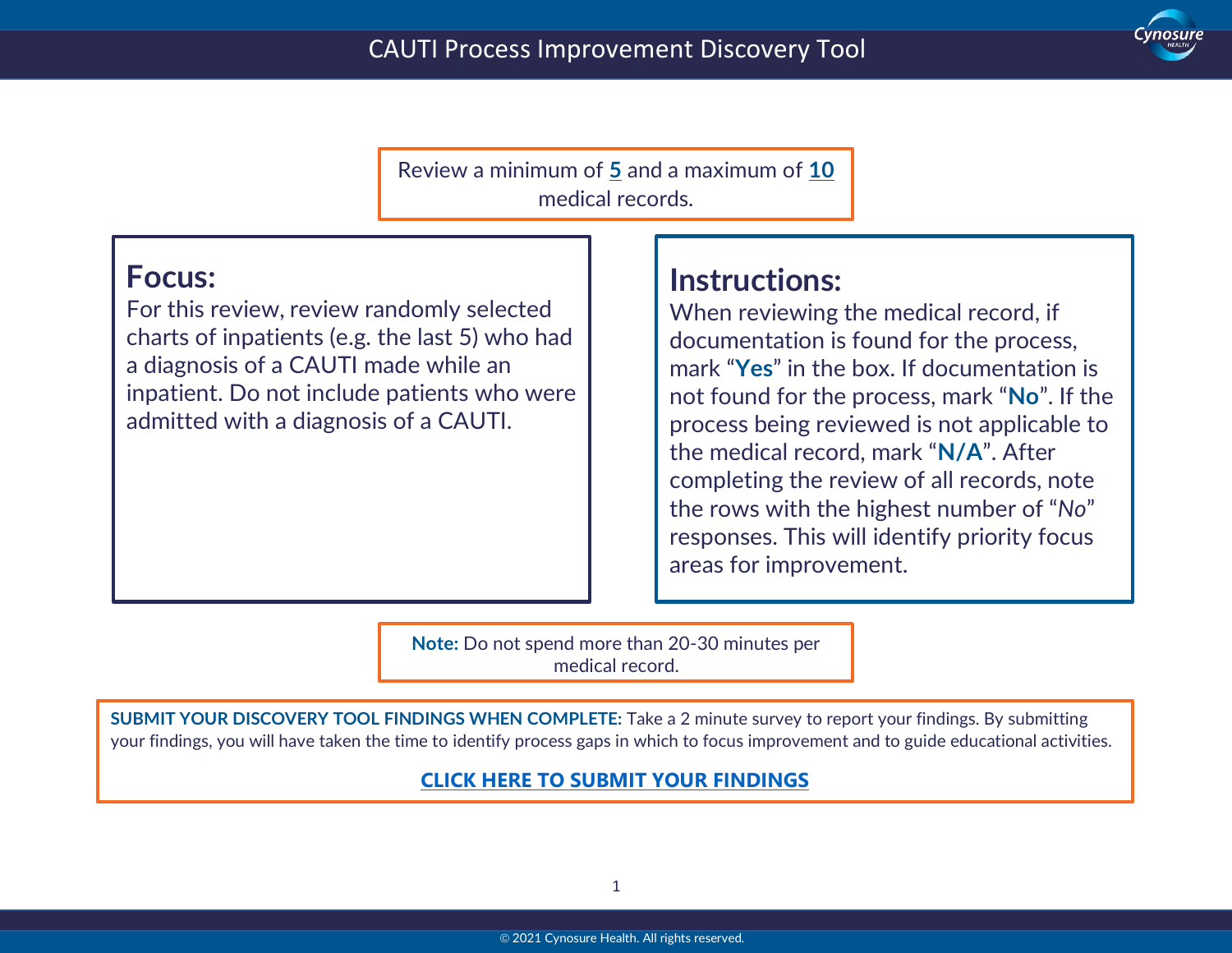

Review a minimum of **5** and a maximum of **10** medical records.

## **Focus:**

 $\ddot{}$ 

For this review, review randomly selected charts of inpatients (e.g. the last 5) who had a diagnosis of a CAUTI made while an inpatient. Do not include patients who were admitted with a diagnosis of a CAUTI.

# **Instructions:**

When reviewing the medical record, if documentation is found for the process, mark "**Yes**" in the box. If documentation is not found for the process, mark "**No**". If the process being reviewed is not applicable to the medical record, mark "**N/A**". After completing the review of all records, note the rows with the highest number of "*No*" responses. This will identify priority focus areas for improvement.

**Note:** Do not spend more than 20-30 minutes per medical record.

**SUBMIT YOUR DISCOVERY TOOL FINDINGS WHEN COMPLETE:** Take a 2 minute survey to report your findings. By submitting your findings, you will have taken the time to identify process gaps in which to focus improvement and to guide educational activities.

#### **[CLICK HERE TO SUBMIT YOUR FINDINGS](https://forms.office.com/Pages/ResponsePage.aspx?id=CaWuRzwNk06ImZTtwCQcupoWHPlbe_BJvTcIOh5cXV5UQ0w1WDlVODM0V0RZUjEzMzNGQUNKM0tPTC4u)**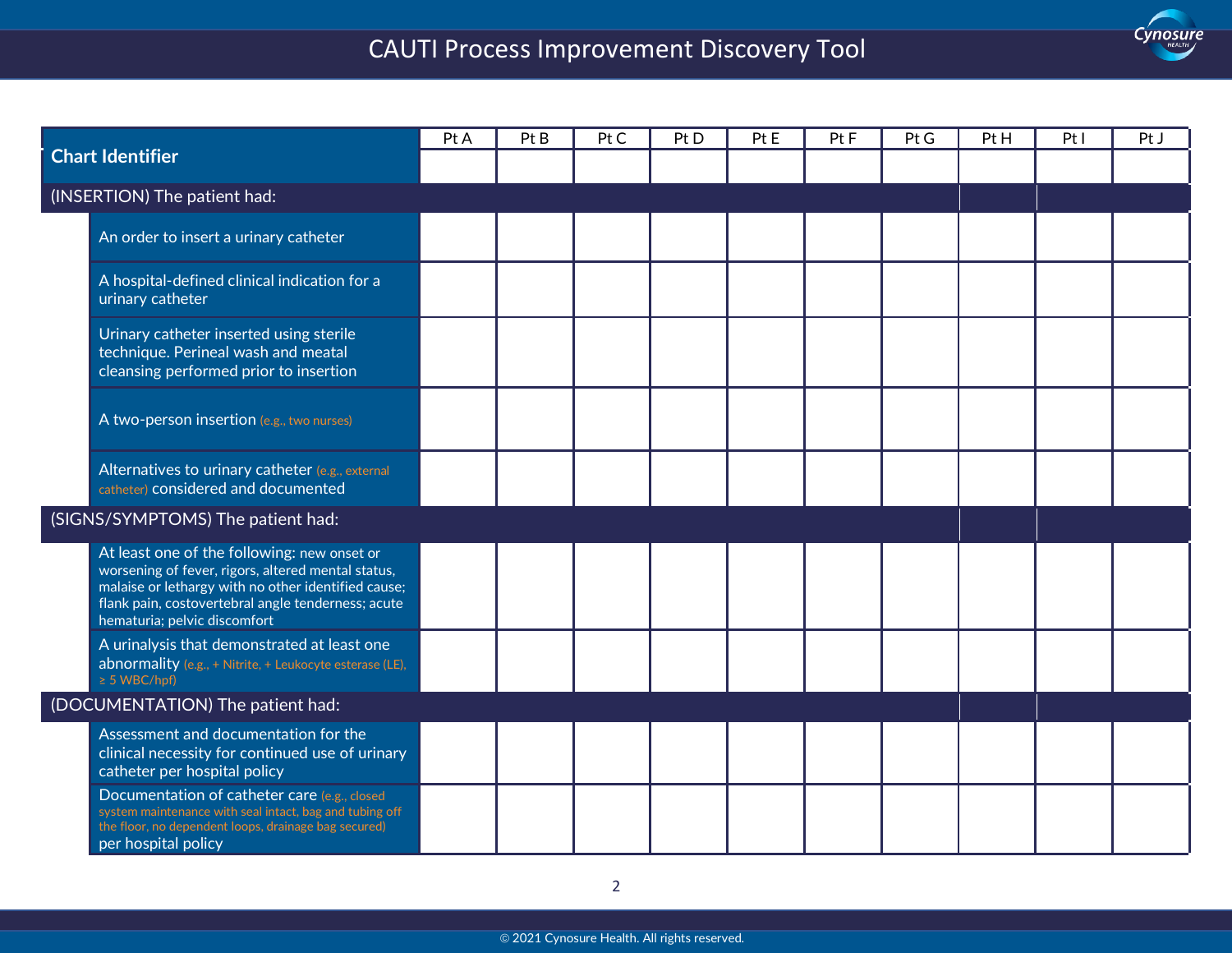# CAUTI Process Improvement Discovery Tool

Cynosure

 $\ddot{}$ 

| <b>Chart Identifier</b>           |                                                                                                                                                                                                                                                | Pt A | Pt B | Pt C | Pt D | Pt E | Pt <sub>F</sub> | Pt G | Pt H | PtI | Pt J |
|-----------------------------------|------------------------------------------------------------------------------------------------------------------------------------------------------------------------------------------------------------------------------------------------|------|------|------|------|------|-----------------|------|------|-----|------|
|                                   |                                                                                                                                                                                                                                                |      |      |      |      |      |                 |      |      |     |      |
| (INSERTION) The patient had:      |                                                                                                                                                                                                                                                |      |      |      |      |      |                 |      |      |     |      |
|                                   | An order to insert a urinary catheter                                                                                                                                                                                                          |      |      |      |      |      |                 |      |      |     |      |
|                                   | A hospital-defined clinical indication for a<br>urinary catheter                                                                                                                                                                               |      |      |      |      |      |                 |      |      |     |      |
|                                   | Urinary catheter inserted using sterile<br>technique. Perineal wash and meatal<br>cleansing performed prior to insertion                                                                                                                       |      |      |      |      |      |                 |      |      |     |      |
|                                   | A two-person insertion (e.g., two nurses)                                                                                                                                                                                                      |      |      |      |      |      |                 |      |      |     |      |
|                                   | Alternatives to urinary catheter (e.g., external<br>catheter) considered and documented                                                                                                                                                        |      |      |      |      |      |                 |      |      |     |      |
| (SIGNS/SYMPTOMS) The patient had: |                                                                                                                                                                                                                                                |      |      |      |      |      |                 |      |      |     |      |
|                                   | At least one of the following: new onset or<br>worsening of fever, rigors, altered mental status,<br>malaise or lethargy with no other identified cause;<br>flank pain, costovertebral angle tenderness; acute<br>hematuria; pelvic discomfort |      |      |      |      |      |                 |      |      |     |      |
|                                   | A urinalysis that demonstrated at least one<br>abnormality (e.g., + Nitrite, + Leukocyte esterase (LE),<br>$\geq$ 5 WBC/hpf)                                                                                                                   |      |      |      |      |      |                 |      |      |     |      |
| (DOCUMENTATION) The patient had:  |                                                                                                                                                                                                                                                |      |      |      |      |      |                 |      |      |     |      |
|                                   | Assessment and documentation for the<br>clinical necessity for continued use of urinary<br>catheter per hospital policy                                                                                                                        |      |      |      |      |      |                 |      |      |     |      |
|                                   | Documentation of catheter care (e.g., closed<br>system maintenance with seal intact, bag and tubing off<br>the floor, no dependent loops, drainage bag secured)<br>per hospital policy                                                         |      |      |      |      |      |                 |      |      |     |      |